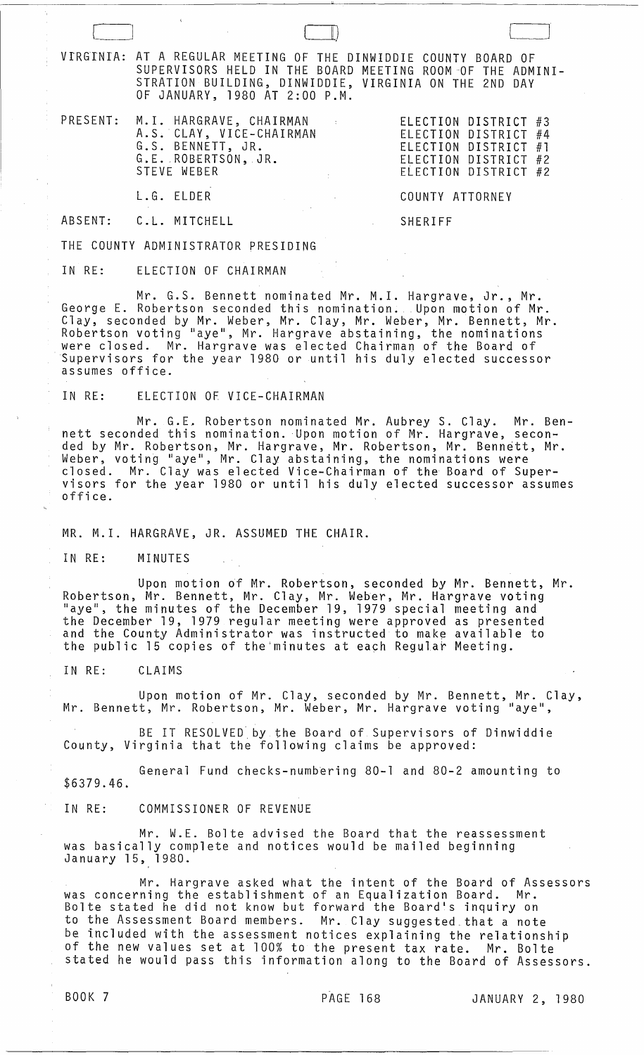$(+)$ VIRGINIA: AT A REGULAR MEETING OF THE DINWIDDIE COUNTY BOARD OF SUPERVISORS HELD IN THE BOARD MEETING ROOM OF THE ADMINI-STRATION BUILDING, DINWIDDIE, VIRGINIA ON THE 2ND DAY OF JANUARY, 1980 AT 2:00 P.M. PRESENT: M.I. HARGRAVE, CHAIRMAN ELECTION DISTRICT #3 A.S. CLAY, VICE-CHAIRMAN ELECTION DISTRICT #4 G.S. BENNETT, JR. ELECTION DISTRICT #1 G.E.ROBERTSON, JR. ELECTION DISTRICT #2 ELECTION DISTRICT #2

L.G. ELDER COUNTY ATTORNEY

ABSENT: C.L. MITCHELL SHERIFF

THE COUNTY ADMINISTRATOR PRESIDING

IN RE: ELECTION OF CHAIRMAN

Mr. G.S. Bennett nominated Mr. M.1. Hargrave, Jr., Mr. George E. Robertson seconded this nomination. Upon motion of Mr. Clay, seconded by Mr. Weber, Mr. Clay, Mr. Weber, Mr. Bennett, Mr. Robertson voting "aye", Mr. Hargrave abstaining, the nominations were closed. Mr. Hargrave was elected Chairman of the Board of Supervisors for the year 1980 or until his duly elected successor assumes office.

IN RE: ELECTION OF VICE-CHAIRMAN

Mr. G.L Robertson nominated Mr. Aubrey S. Clay. Mr. Bennett seconded this nomination. Upon motion of Mr. Hargrave, seconded by Mr. Robertson, Mr. Hargrave, Mr. Robertson, Mr. Bennett, Mr. Weber, voting "aye", Mr. Clay abstaining, the nominations were closed. Mr. Clay was elected Vice-Chairman of the Board of Supervisors for the year 1980 or until his duly elected successor assumes office.

MR. M.I. HARGRAVE, JR. ASSUMED THE CHAIR.

IN RE: MINUTES

Upon motion of Mr. Robertson, seconded by Mr. Bennett, Mr. Robertson, Mr. Bennett, Mr. Clay, Mr. Weber, Mr. Hargrave voting "aye", the minutes of the December 19, 1979 special meeting and the December 19, 1979 regular meeting were approved as presented and the County Administrator was instructed to make available to the public 15 copies of the'minutes at each Regula~ Meeting.

IN RE: CLAIMS

Upon motion of Mr. Clay, seconded by Mr. Bennett, Mr. Clay, Mr. Bennett, Mr. Robertson, Mr. Weber, Mr. Hargrave voting "aye",

BE IT RESOLVED by the Board of Supervisors of Dinwiddie County, Virginia that the following claims be approved:

\$6379.46. General Fund checks-numbering 80-1 and 80-2 amounting to

IN RE: COMMISSIONER OF REVENUE

Mr. W.E. Bolte advised the Board that the reassessment was basically complete and notices would be mailed beginning January 15, 1980.

Mr. Hargrave asked what the intent of the Board of Assessors was concerning the establishment of an Equalization Board. Mr. Bolte stated he did not know but forward the Board's inquiry on to the Assessment Board members. Mr. Clay suggested that a note be included with the assessment notices explaining the relationship of the new values set at 100% to the present tax rate. Mr. Bolte stated he would pass this information along to the Board of Assessors.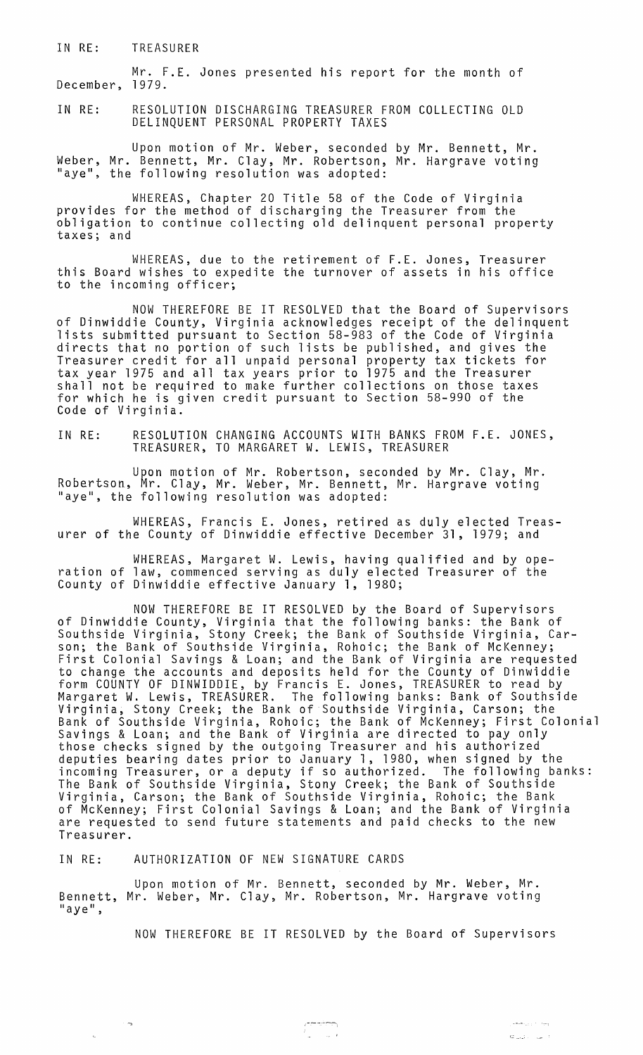IN RE: TREASURER

Mr. F.E. Jones presented his report for the month of December, 1979.

IN RE: RESOLUTION DISCHARGING TREASURER FROM COLLECTING OLD DELINQUENT PERSONAL PROPERTY TAXES

Upon motion of Mr. Weber, seconded by Mr. Bennett, Mr. Weber, Mr. Bennett, Mr. Clay, Mr. Robertson, Mr. Hargrave voting<br>"aye", the following resolution was adopted:

WHEREAS, Chapter 20 Title 58 of the Code of Virginia provides for the method of discharging the Treasurer from the obligation to continue collecting old delinquent personal property taxes; and

WHEREAS, due to the retirement of F.E. Jones, Treasurer this Board wishes to expedite the turnover of assets in his office to the incoming officer;

NOW THEREFORE BE IT RESOLVED that the Board of Supervisors of Dinwiddie County, Virginia acknowledges receipt of the delinquent lists submitted pursuant to Section 58-983 of the Code of Virginia directs that no portion of such lists be published, and gives the Treasurer credit for all unpaid personal property tax tickets for tax year 1975 and all tax years prior to 1975 and the Treasurer shall not be required to make further collections on those taxes for which he is given credit pursuant to Section 58-990 of the Code of Virginia.

IN RE: RESOLUTION CHANGING ACCOUNTS WITH BANKS FROM F.E. JONES, TREASURER, TO MARGARET W. LEWIS, TREASURER

Upon motion of Mr. Robertson, seconded by Mr. Clay, Mr. Robertson, Mr. Clay, Mr. Weber, Mr. Bennett, Mr. Hargrave voting Nobel Cool, M. Gray, M. Weber, M. Dennett,

WHEREAS, Francis E. Jones, retired as duly elected Treasurer of the County of Dinwiddie effective December 31, 1979; and

WHEREAS, Margaret W. Lewis, having qualified and by operation of law, commenced serving as duly elected Treasurer of the County of Dinwiddie effective January 1, 1980;

NOW THEREFORE BE IT RESOLVED by the Board of Supervisors of Dinwiddie County, Virginia that the following banks: the Bank of Southside Virginia, Stony Creek; the Bank of Southside Virginia, Carson; the Bank of Southside Virginia, Rohoic; the Bank of McKenney; First Colonial Savings & Loan; and the Bank of Virginia are requested to change the accounts and deposits held for the County of Dinwiddie form COUNTY OF DINWIDDIE, by Francis E. Jones, TREASURER to read by Margaret W. Lewis, TREASURER. The following banks: Bank of Southside Virginia, Stony Creek; the Bank of Southside Virginia, Carson; the Bank of Southside Virginia, Rohoic; the Bank of McKenney; First Colonial Savings & Loan; and the Bank of Virginia are directed to pay only those checks signed by the outgoing Treasurer and his authorized deputies bearing dates prior to January 1, 1980, when signed by the incoming Treasurer, or a deputy if so authorized. The following banks: The Bank of Southside Virginia, Stony Creek; the Bank of Southside Virginia, Carson; the Bank of Southside Virginia, Rohoic; the Bank of McKenney; First Colonial Savings & Loan; and the Bank of Virginia are requested to send future statements and paid checks to the new Treasurer.

IN RE: AUTHORIZATION OF NEW SIGNATURE CARDS

om,

Upon motion of Mr. Bennett, seconded by Mr. Weber, Mr. Bennett, Mr. Weber, Mr. Clay, Mr. Robertson, Mr. Hargrave voting<br>"aye",

NOW THEREFORE BE IT RESOLVED by the Board of Supervisors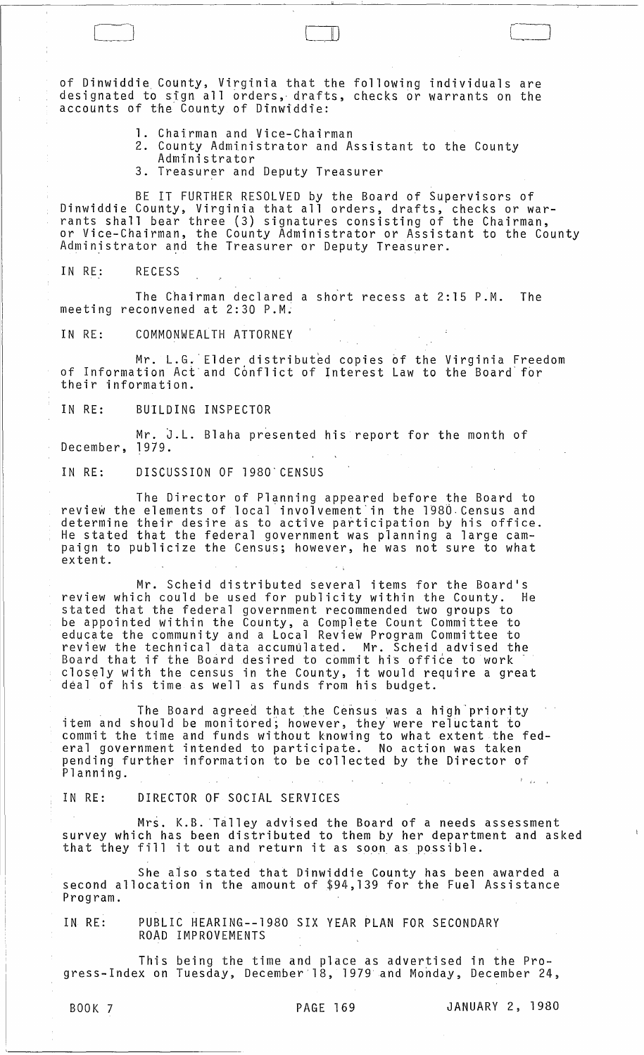of Dinwiddie County, Virginia that the following individuals are designated to sign all orders, drafts, checks or warrants on the accounts of the County of Dinwiddie:

- 1. Chairman and Vice-Chairman
- 2. County Administrator and Assistant to the County Admtnistrator
- 3. Treasurer and Deputy Treasurer

BE IT FURTHER RESOLVED by the Board of Supervisors of Dinwiddie County, Virginia that all orders, drafts, checks or warrants shall bear three (3) signatures consisting of the Chairman, or Vice-Chairman, the County Administrator or Assistant to the County Administrator and the Treasurer or Deputy Treasurer.

IN RE: RECESS

Cl

The Chairman declared a short recess at 2:15 P.M. The meeting reconvened at 2:30 P.M.

IN RE: COMMONWEALTH ATTORNEY

Mr. L.G. Elder distributed copies of the Virginia Freedom of Information Act"and Conflict of Interest Law to the Board' for their information.

IN RE: BUILDING INSPECTOR

Mr. J.L. Blaha presented his report for the month of December, 1979.

IN RE: DISCUSSION OF 19S0' CENSUS

The Director of Planning appeared before the Board to review the elements of local involvement in the 1980 Census and determine their desire as to active participation by his office. He stated that the federal government was planning a large campaign to publicize the Census; however, he was not sure to what extent.

Mr. Scheid distributed several items for the Board's review which could be used for publicity within the County. He stated that the federal government recommended two groups to be appointed within the County, a Complete Count Committee to educate the community and a Local Review Program Committee to review the technical data accumulated. Mr. Scheid advised the Board that if the Board desired to commit his office to work board chat it the board desired to commit his office to work<br>closely with the census in the County, it would require a great deal of his time as well as funds from his budget.

The Board agreed that the Census was a high priority item and should be monitored; however, they were reluctant to commit the time and funds without knowing to what extent the federal government intended to participate. No action was taken pending further information to be collected by the Director of Planning.  $\mathbf{r}_{\text{max}}$ 

IN RE: DIRECTOR OF SOCIAL SERVICES

Mrs. K.B. Talley advised the Board of a needs assessment survey which has been distributed to them by her department and asked that they fill it out and return it as soon as possible.

She also stated that Dinwiddie County has been awarded a second allocation in the amount of \$94,139 for the Fuel Assistance Program.

IN RE: PUBLIC HEARING--1980 SIX YEAR PLAN FOR SECONDARY ROAD IMPROVEMENTS

This being the time and place as advertised in the Progress-Index on Tuesday, December 18, 1979 and Monday, December 24,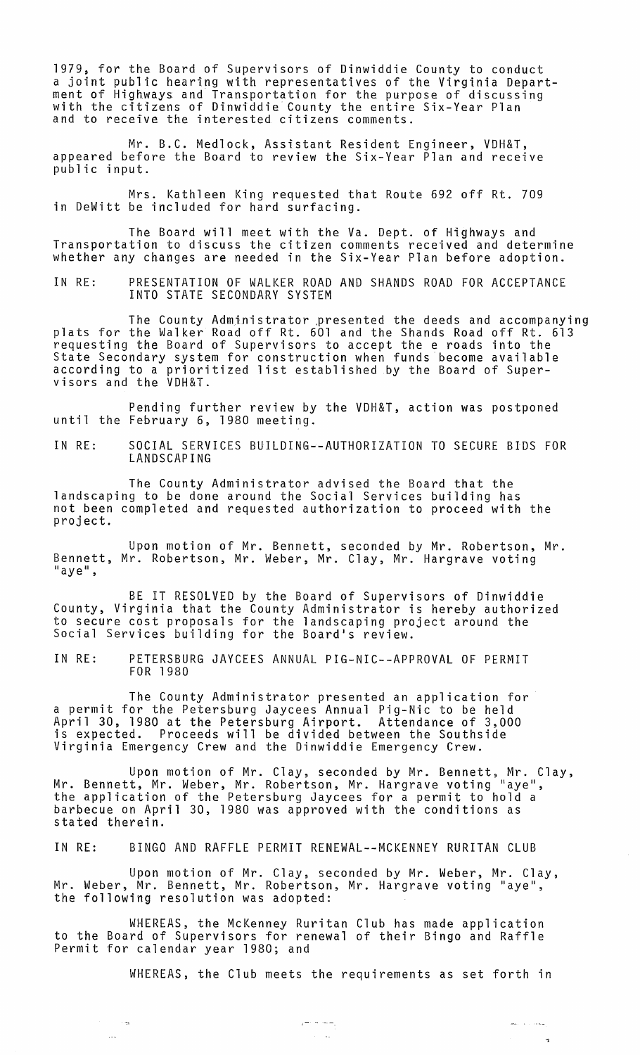1979, for the Board of Supervisors of Dinwiddie County to conduct a joint public hearing with representatives of the Virginia Department of Highways and Transportation for the purpose of discussing with the citizens of Dinwiddie County the entire Six-Year Plan and to receive the interested citizens comments.

Mr. B.C. Medlock, Assistant Resident Engineer, VDH&T, appeared before the Board to review the Six-Year Plan and receive public input.

Mrs. Kathleen King requested that Route 692 off Rt. 709 in DeWitt be included for hard surfacing.

The Board will meet with the Va. Dept. of Highways and Transportation to discuss the citizen comments received and determine whether any changes are needed in the Six-Year Plan before adoption.

IN RE: PRESENTATION OF WALKER ROAD AND SHANDS ROAD FOR ACCEPTANCE INTO STATE SECONDARY SYSTEM

The County Admjnistrator .presented the deeds and accompanying plats for the Walker Road off Rt. 601 and the Shands Road off Rt. 613 requesting the Board of Supervisors to accept the e roads into the State Secondary system for construction when funds become available according to a prioritized list established by the Board of Supervisors and the VDH&T.

Pending further review by the VDH&T, action was postponed until the February 6, 1980 meeting.

IN RE: SOCIAL SERVICES BUILDING--AUTHORIZATION TO SECURE BIDS FOR LANDSCAPING

The County Administrator advised the Board that the landscaping to be done around the Social Services building has not been completed and requested authorization to proceed with the project.

Upon motion of Mr. Bennett, seconded by Mr. Robertson, Mr. Bennett, Mr. Robertson, Mr. Weber, Mr. Clay, Mr. Hargrave voting<br>"aye",

BE IT RESOLVED by the Board of Supervisors of Dinwiddie County, Virginia that the County Administrator is hereby authorized to secure cost proposals for the landscaping project around the Social Services building for the Board's review.

IN RE: PETERSBURG JAYCEES ANNUAL PIG-NIC--APPROVAL OF PERMIT FOR 1980

The County Administrator presented an application for a permit for the Petersburg Jaycees Annual Pig-Nic to be held April 30, 1980 at the Petersburg Airport. Attendance of 3,000 is expected. Proceeds will be divided between the Southside Virginia Emergency Crew and the Dinwiddie Emergency Crew.

Upon motion of Mr. Clay, seconded by Mr. Bennett, Mr. Clay, Mr. Bennett, Mr. Weber, Mr. Robertson, Mr. Hargrave voting "aye", the application of the Petersburg Jaycees for a permit to hold a barbecue on April 30, 1980 was approved with the conditions as stated therein.

IN RE: BINGO AND RAFFLE PERMIT RENEWAL--MCKENNEY RURITAN CLUB

Upon motion of Mr. Clay, seconded by Mr. Weber, Mr. Clay, Mr. Weber, Mr. Bennett, Mr. Robertson, Mr. Hargrave voting "aye", the following resolution was adopted:

WHEREAS, the McKenney Ruritan Club has made application to the Board of Supervisors for renewal of their Bingo and Raffle Permit for calendar year 1980; and

 $\epsilon^+$ 

 $\frac{1}{2}$ 

WHEREAS, the Club meets the requirements as set forth in

 $\sim$ 

يتحدث ويست

 $\mathbf{r}_2$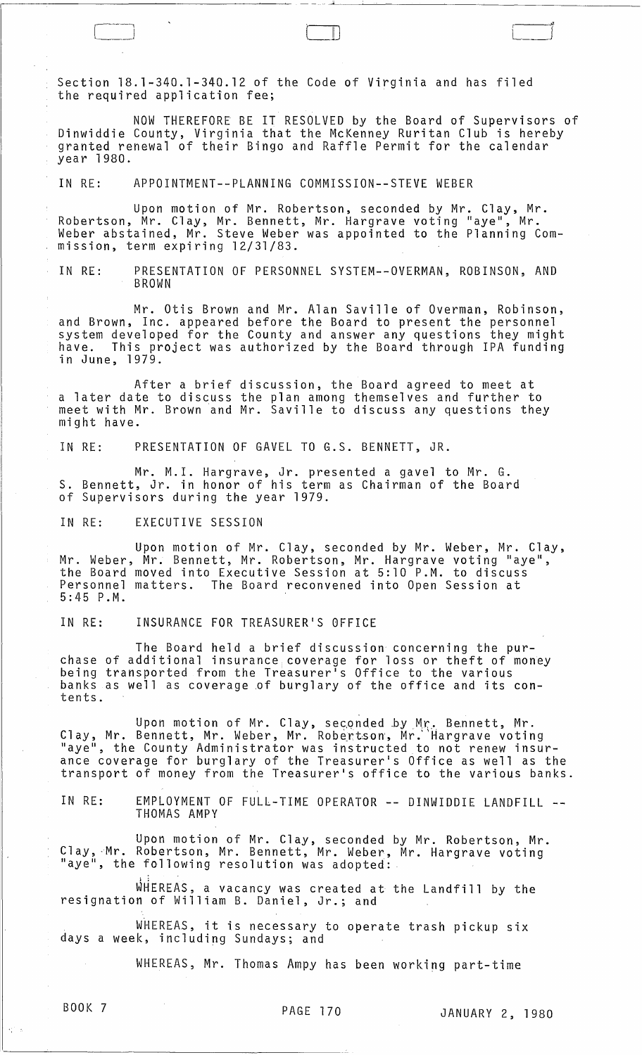Section 18.1-340.1-340.12 of the Code of Virginia and has filed the required application fee;

NOW THEREFORE BE IT RESOLVED by the Board of Supervisors of Dinwiddie County, Virginia that the McKenney Ruritan Club is hereby granted renewal of their Bingo and Raffle Permit for the calendar year 1980.

 $\Box$ 

\_\_ ... .JL.~~~~~~~~~\_~~~~~~~~ \_\_

IN RE: APPOINTMENT--PLANNING COMMISSION--STEVE WEBER

Upon motion of Mr. Robertson, seconded by Mr. Clay, Mr. Robertson, Mr. Clay, Mr. Bennett, Mr. Hargrave voting "aye", Mr. Weber abstained, Mr. Steve Weber was appointed to the Planning Commission, term expiring 12/31/83.

IN RE: PRESENTATION OF PERSONNEL SYSTEM--OVERMAN, ROBINSON, AND BROWN

Mr. Otis Brown and Mr. Alan Saville of Overman, Robinson, and Brown, Inc. appeared before the Board to present the personnel system developed for the County and answer any questions they might<br>have. This project was authorized by the Board through IPA funding have. This project was authorized by the Board through IPA funding<br>in June, 1979.

After a brief discussion, the Board agreed to meet at a later date to discuss the plan among themselves and further to meet with Mr. Brown and Mr. Saville to discuss any questions they might have.

IN RE: PRESENTATION OF GAVEL TO G.S. BENNETT, JR.

Mr. M.I. Hargrave, Jr. presented a gavel to Mr. G. S. Bennett, Jr. in honor of his term as Chairman of the Board of Supervisors during the year 1979.

IN RE: EXECUTIVE SESSION

Upon motion of Mr. Clay, seconded by Mr. Weber, Mr. Clay, Mr. Weber, Mr. Bennett, Mr. Robertson, Mr. Hargrave voting "aye", the Board moved into Executive Session at 5:10 P.M. to discuss Personnel matters. The Board reconvened into Open Session at 5:45 P.M.

IN RE: INSURANCE FOR TREASURER'S OFFICE

The Board held a brief discussion concerning the purchase of additional insurance coverage for loss or theft of money being transported from the Treasurer's Office to the various banks as well as coverage of burglary of the office and its contents.

Upon motion of Mr. Clay, seconded by Mr. Bennett, Mr. Clay, Mr. Bennett, Mr. Weber, Mr. Robertson, Mr. Hargrave voting "aye", the County Administrator was instructed to not renew insurance coverage for burglary of the Treasurer's Office as well as the transport of money from the Treasurer's office to the various banks.

IN RE: EMPLOYMENT OF FULL-TIME OPERATOR -- DINWIDDIE LANDFILL --<br>THOMAS AMPY

Upon motion of Mr. Clay, seconded by Mr. Robertson, Mr. Clay, Mr. Robertson, Mr. Bennett, Mr. Weber, Mr. Hargrave voting<br>"aye", the following resolution was adopted:

WHEREAS, a vacancy was created at the Landfill by the resignation of William B. Daniel, Jr.; and

WHEREAS, it is necessary to operate trash pickup six days a week, including Sundays; and

WHEREAS, Mr. Thomas Ampy has been working part-time